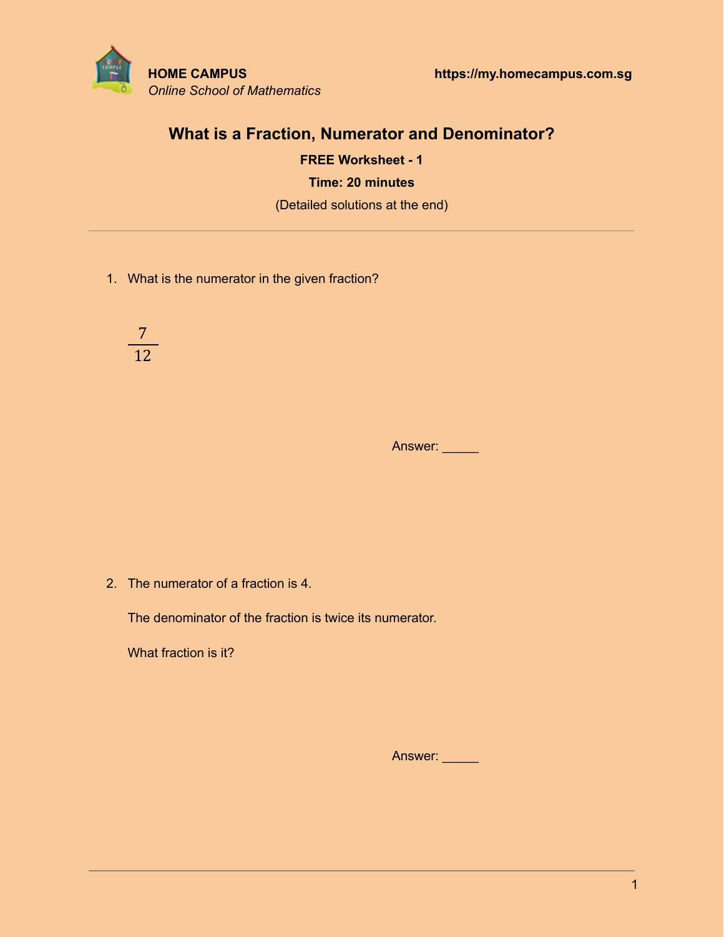

# **What is a Fraction, Numerator and Denominator?**

**FREE Worksheet - 1 Time: 20 minutes** (Detailed solutions at the end)

1. What is the numerator in the given fraction?

7 12

Answer: \_\_\_\_\_

2. The numerator of a fraction is 4.

The denominator of the fraction is twice its numerator.

What fraction is it?

Answer: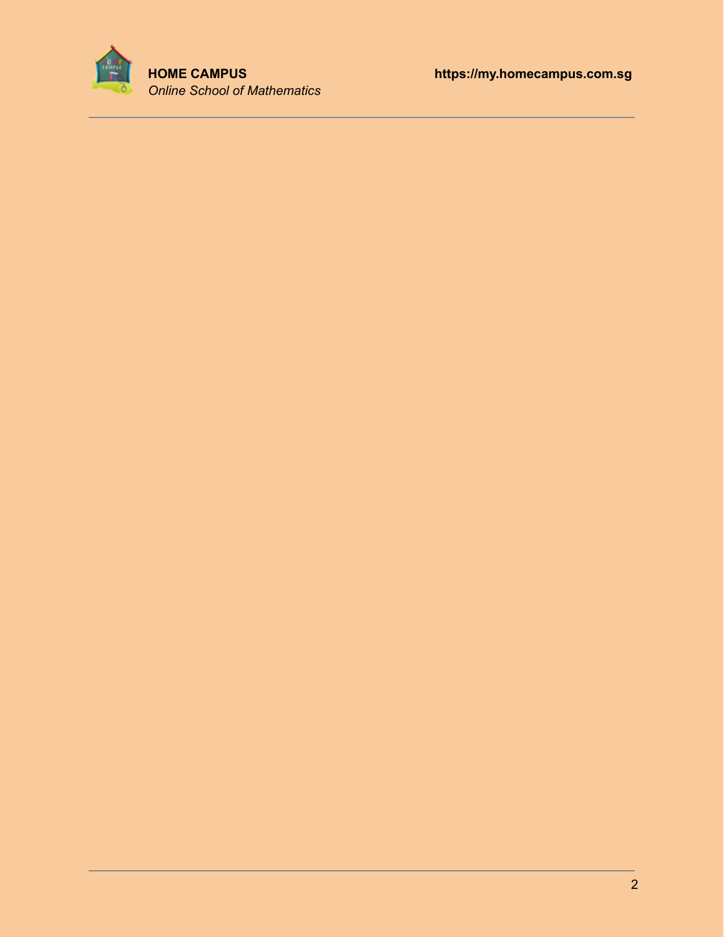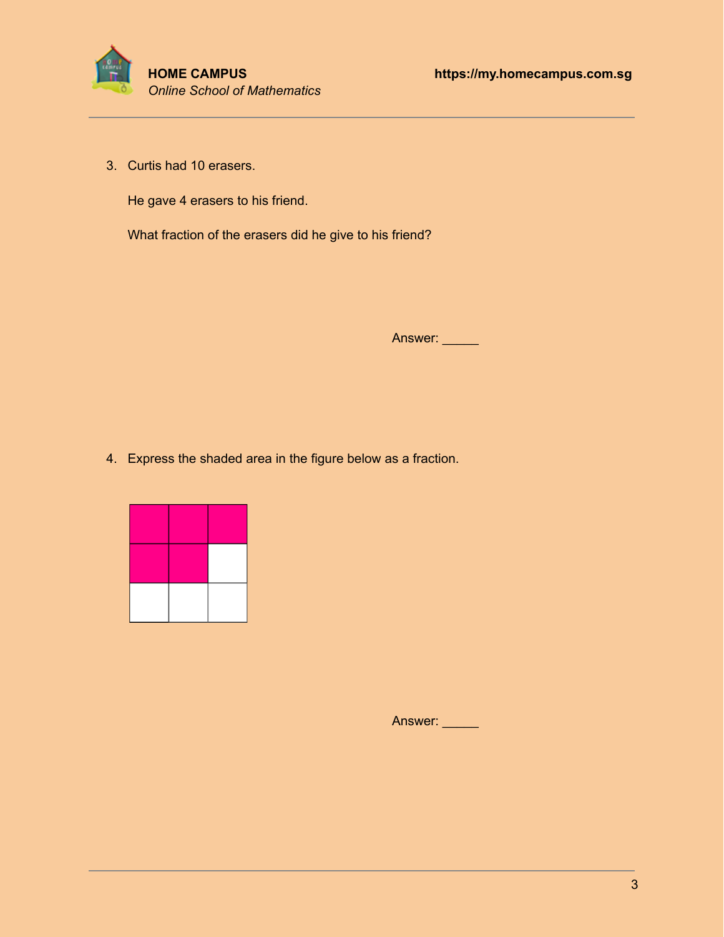

3. Curtis had 10 erasers.

He gave 4 erasers to his friend.

What fraction of the erasers did he give to his friend?

Answer:

4. Express the shaded area in the figure below as a fraction.

Answer: \_\_\_\_\_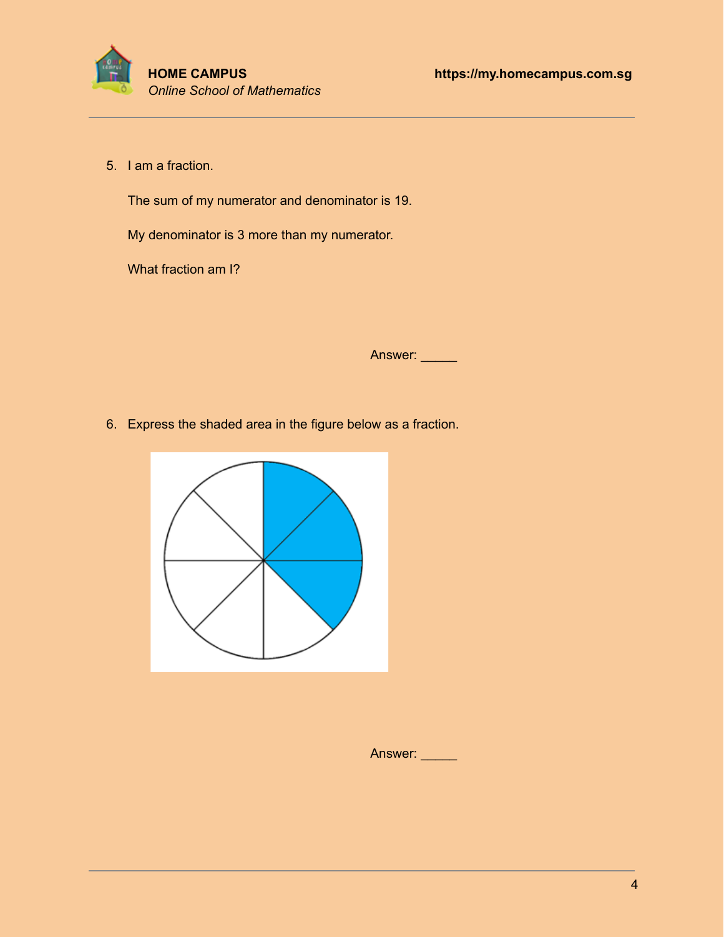

5. I am a fraction.

The sum of my numerator and denominator is 19.

My denominator is 3 more than my numerator.

What fraction am I?

Answer: \_\_\_\_\_

6. Express the shaded area in the figure below as a fraction.

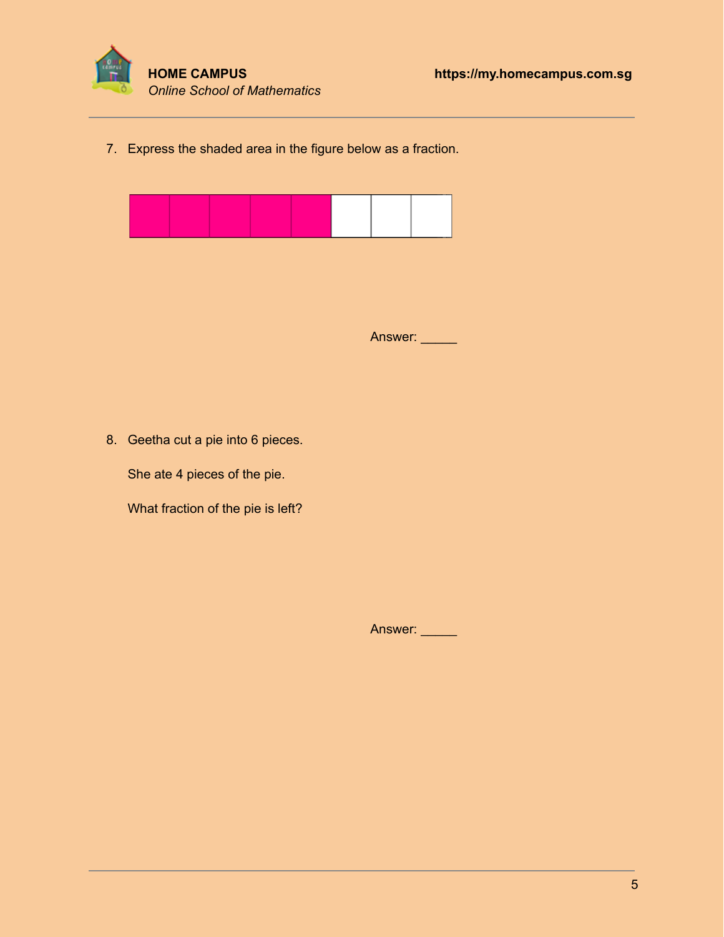**HOME CAMPUS** *Online School of Mathematics*

**https://my.homecampus.com.sg**

7. Express the shaded area in the figure below as a fraction.



Answer: \_\_\_\_\_\_

8. Geetha cut a pie into 6 pieces.

She ate 4 pieces of the pie.

What fraction of the pie is left?

Answer: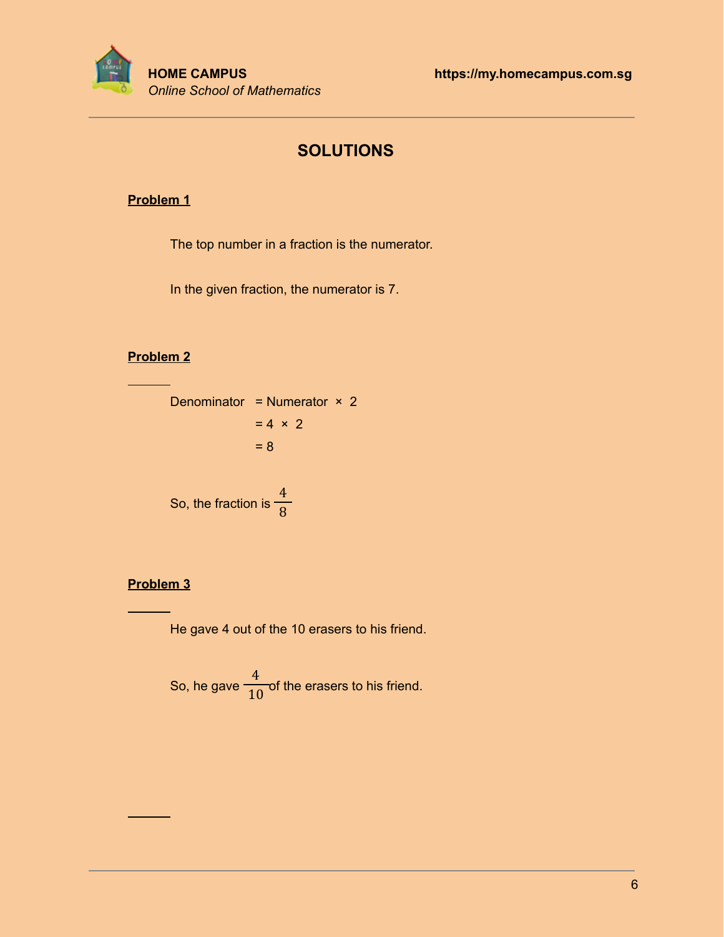

## **SOLUTIONS**

#### **Problem 1**

The top number in a fraction is the numerator.

In the given fraction, the numerator is 7.

#### **Problem 2**

Denominator = Numerator  $\times$  2  $= 4 \times 2$  $= 8$ 

So, the fraction is 4 8

#### **Problem 3**

He gave 4 out of the 10 erasers to his friend.

So, he gave  $\frac{1}{10}$  of the erasers to his friend. 4 10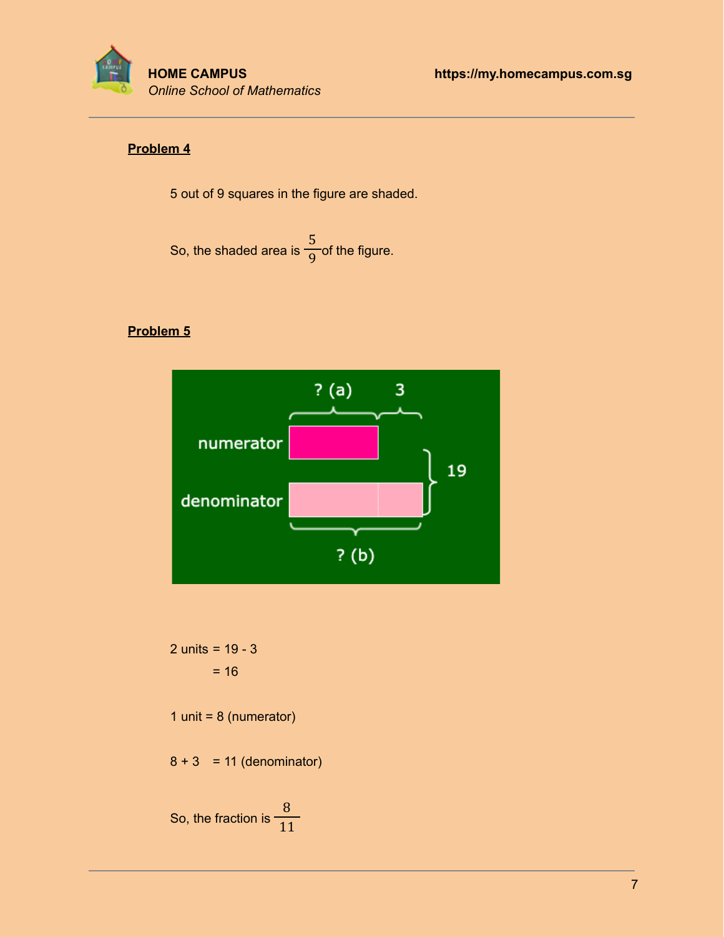

## **Problem 4**

5 out of 9 squares in the figure are shaded.

So, the shaded area is  $\frac{1}{\sqrt{2}}$  of the figure. 5 9

## **Problem 5**



2 units = 19 - 3  $= 16$ 

1 unit = 8 (numerator)

 $8 + 3 = 11$  (denominator)

So, the fraction is 8 11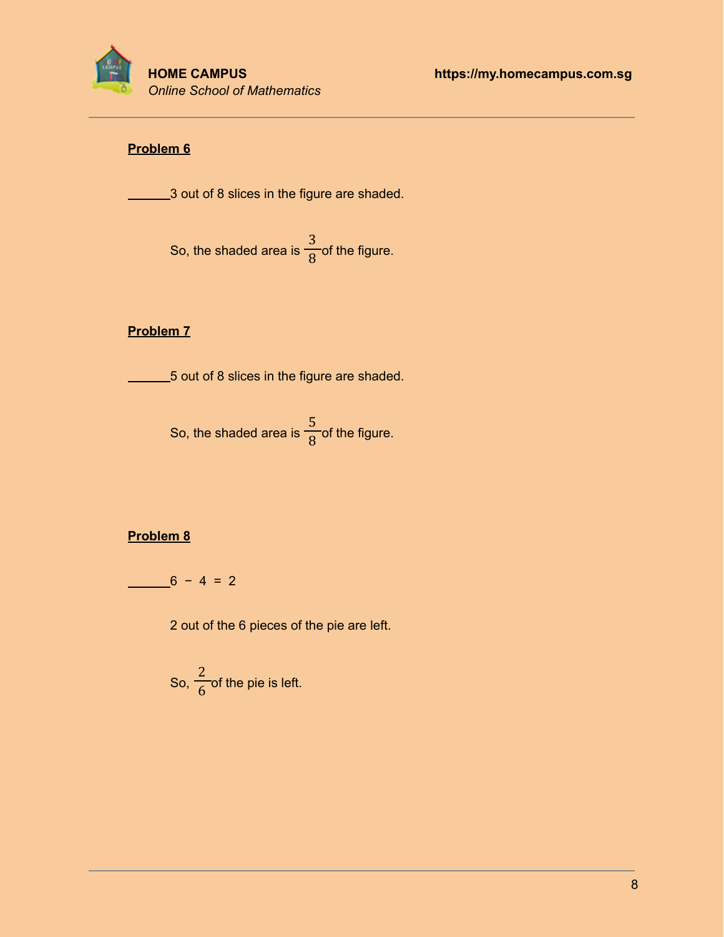

## **Problem 6**

13 out of 8 slices in the figure are shaded.

So, the shaded area is  $\frac{1}{\sqrt{2}}$  of the figure. 3 8

## **Problem 7**

5 out of 8 slices in the figure are shaded.

So, the shaded area is  $\frac{1}{\sqrt{2}}$  of the figure. 5 8

#### **Problem 8**

 $6 - 4 = 2$ 

2 out of the 6 pieces of the pie are left.

So, 
$$
\frac{2}{6}
$$
 of the pie is left.